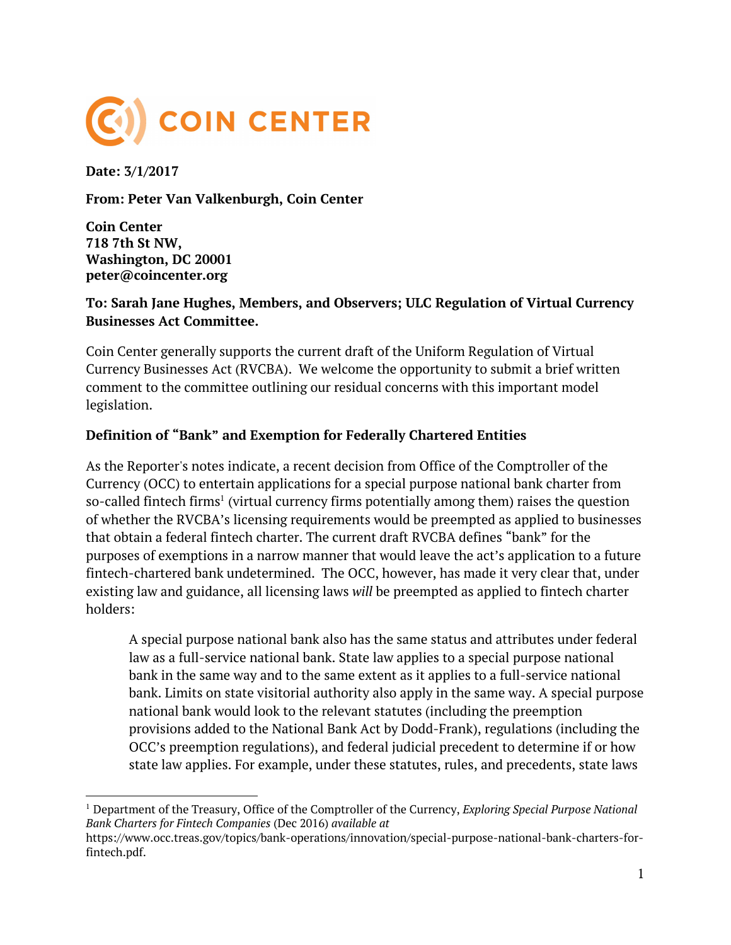

**Date: 3/1/2017**

**From: Peter Van Valkenburgh, Coin Center**

**Coin Center 718 7th St NW, Washington, DC 20001 peter@coincenter.org**

#### **To: Sarah Jane Hughes, Members, and Observers; ULC Regulation of Virtual Currency Businesses Act Committee.**

Coin Center generally supports the current draft of the Uniform Regulation of Virtual Currency Businesses Act (RVCBA). We welcome the opportunity to submit a brief written comment to the committee outlining our residual concerns with this important model legislation.

#### **Definition of "Bank" and Exemption for Federally Chartered Entities**

As the Reporter's notes indicate, a recent decision from Office of the Comptroller of the Currency (OCC) to entertain applications for a special purpose national bank charter from so-called fintech firms<sup>1</sup> (virtual currency firms potentially among them) raises the question of whether the RVCBA's licensing requirements would be preempted as applied to businesses that obtain a federal fintech charter. The current draft RVCBA defines "bank" for the purposes of exemptions in a narrow manner that would leave the act's application to a future fintech-chartered bank undetermined. The OCC, however, has made it very clear that, under existing law and guidance, all licensing laws *will* be preempted as applied to fintech charter holders:

A special purpose national bank also has the same status and attributes under federal law as a full-service national bank. State law applies to a special purpose national bank in the same way and to the same extent as it applies to a full-service national bank. Limits on state visitorial authority also apply in the same way. A special purpose national bank would look to the relevant statutes (including the preemption provisions added to the National Bank Act by Dodd-Frank), regulations (including the OCC's preemption regulations), and federal judicial precedent to determine if or how state law applies. For example, under these statutes, rules, and precedents, state laws

<sup>1</sup> Department of the Treasury, Office of the Comptroller of the Currency, *Exploring Special Purpose National Bank Charters for Fintech Companies* (Dec 2016) *available at*

[https://www.occ.treas.gov/topics/bank-operations/innovation/special-purpose-national-bank-charters-for](https://www.occ.treas.gov/topics/bank-operations/innovation/special-purpose-national-bank-charters-for-fintech.pdf)[fintech.pdf.](https://www.occ.treas.gov/topics/bank-operations/innovation/special-purpose-national-bank-charters-for-fintech.pdf)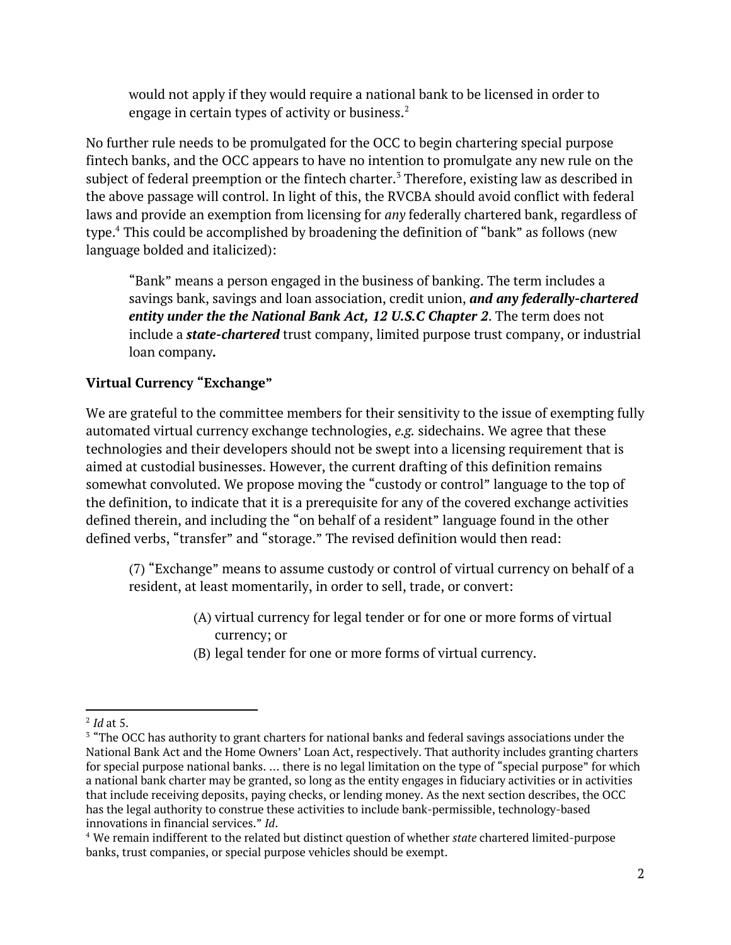would not apply if they would require a national bank to be licensed in order to engage in certain types of activity or business. $^2$ 

No further rule needs to be promulgated for the OCC to begin chartering special purpose fintech banks, and the OCC appears to have no intention to promulgate any new rule on the subject of federal preemption or the fintech charter.<sup>3</sup> Therefore, existing law as described in the above passage will control. In light of this, the RVCBA should avoid conflict with federal laws and provide an exemption from licensing for *any* federally chartered bank, regardless of type.<sup>4</sup> This could be accomplished by broadening the definition of "bank" as follows (new language bolded and italicized):

"Bank" means a person engaged in the business of banking. The term includes a savings bank, savings and loan association, credit union, *and any federally-chartered entity under the the National Bank Act, 12 U.S.C Chapter 2. The term does not*  include a *state-chartered* trust company, limited purpose trust company, or industrial loan company*.*

# **Virtual Currency "Exchange"**

We are grateful to the committee members for their sensitivity to the issue of exempting fully automated virtual currency exchange technologies, *e.g.* sidechains. We agree that these technologies and their developers should not be swept into a licensing requirement that is aimed at custodial businesses. However, the current drafting of this definition remains somewhat convoluted. We propose moving the "custody or control" language to the top of the definition, to indicate that it is a prerequisite for any of the covered exchange activities defined therein, and including the "on behalf of a resident" language found in the other defined verbs, "transfer" and "storage." The revised definition would then read:

(7) "Exchange" means to assume custody or control of virtual currency on behalf of a resident, at least momentarily, in order to sell, trade, or convert:

- (A) virtual currency for legal tender or for one or more forms of virtual currency; or
- (B) legal tender for one or more forms of virtual currency.

<sup>2</sup> *Id* at 5.

<sup>&</sup>lt;sup>3</sup> "The OCC has authority to grant charters for national banks and federal savings associations under the National Bank Act and the Home Owners' Loan Act, respectively. That authority includes granting charters for special purpose national banks. … there is no legal limitation on the type of "special purpose" for which a national bank charter may be granted, so long as the entity engages in fiduciary activities or in activities that include receiving deposits, paying checks, or lending money. As the next section describes, the OCC has the legal authority to construe these activities to include bank-permissible, technology-based innovations in financial services." *Id*.

<sup>4</sup> We remain indifferent to the related but distinct question of whether *state* chartered limited-purpose banks, trust companies, or special purpose vehicles should be exempt.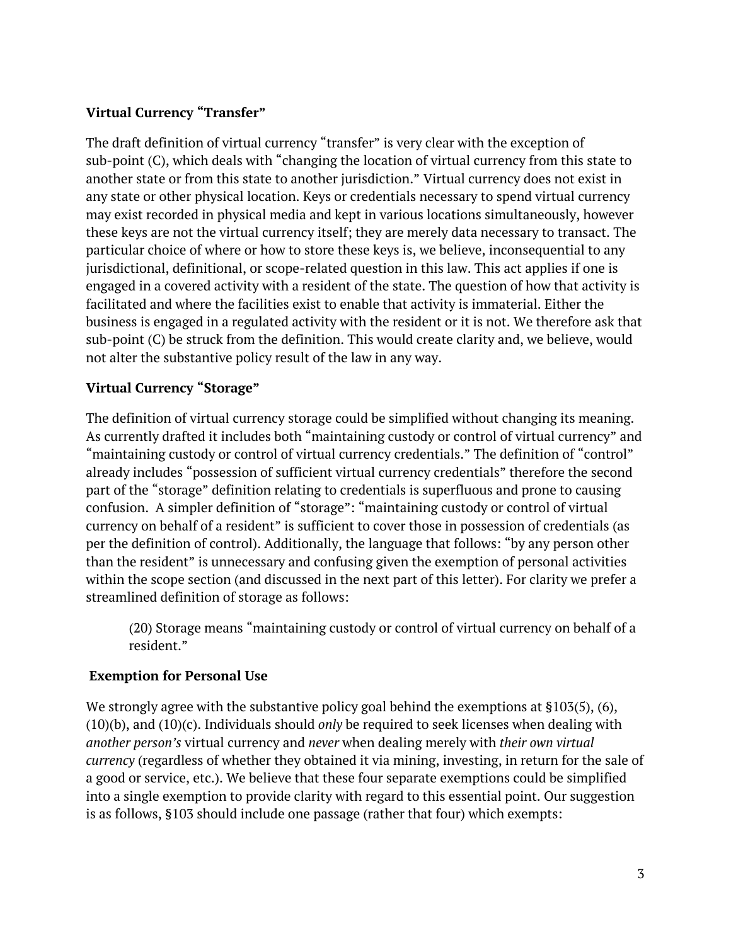# **Virtual Currency "Transfer"**

The draft definition of virtual currency "transfer" is very clear with the exception of sub-point (C), which deals with "changing the location of virtual currency from this state to another state or from this state to another jurisdiction." Virtual currency does not exist in any state or other physical location. Keys or credentials necessary to spend virtual currency may exist recorded in physical media and kept in various locations simultaneously, however these keys are not the virtual currency itself; they are merely data necessary to transact. The particular choice of where or how to store these keys is, we believe, inconsequential to any jurisdictional, definitional, or scope-related question in this law. This act applies if one is engaged in a covered activity with a resident of the state. The question of how that activity is facilitated and where the facilities exist to enable that activity is immaterial. Either the business is engaged in a regulated activity with the resident or it is not. We therefore ask that sub-point (C) be struck from the definition. This would create clarity and, we believe, would not alter the substantive policy result of the law in any way.

# **Virtual Currency "Storage"**

The definition of virtual currency storage could be simplified without changing its meaning. As currently drafted it includes both "maintaining custody or control of virtual currency" and "maintaining custody or control of virtual currency credentials." The definition of "control" already includes "possession of sufficient virtual currency credentials" therefore the second part of the "storage" definition relating to credentials is superfluous and prone to causing confusion. A simpler definition of "storage": "maintaining custody or control of virtual currency on behalf of a resident" is sufficient to cover those in possession of credentials (as per the definition of control). Additionally, the language that follows: "by any person other than the resident" is unnecessary and confusing given the exemption of personal activities within the scope section (and discussed in the next part of this letter). For clarity we prefer a streamlined definition of storage as follows:

(20) Storage means "maintaining custody or control of virtual currency on behalf of a resident."

### **Exemption for Personal Use**

We strongly agree with the substantive policy goal behind the exemptions at §103(5), (6), (10)(b), and (10)(c). Individuals should *only* be required to seek licenses when dealing with *another person's* virtual currency and *never* when dealing merely with *their own virtual currency* (regardless of whether they obtained it via mining, investing, in return for the sale of a good or service, etc.). We believe that these four separate exemptions could be simplified into a single exemption to provide clarity with regard to this essential point. Our suggestion is as follows, §103 should include one passage (rather that four) which exempts: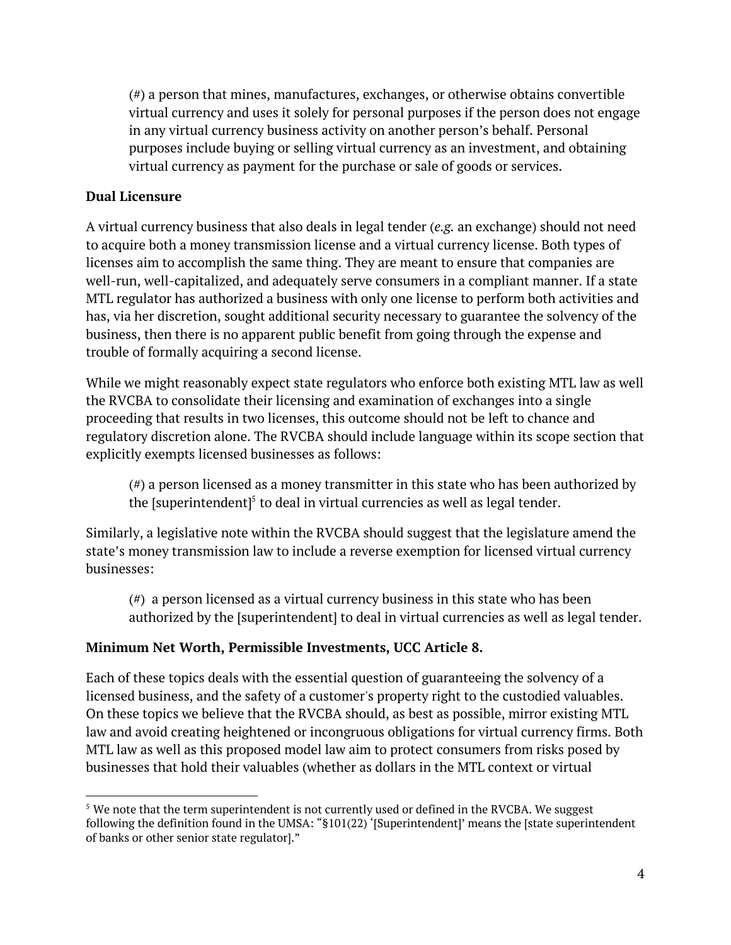(#) a person that mines, manufactures, exchanges, or otherwise obtains convertible virtual currency and uses it solely for personal purposes if the person does not engage in any virtual currency business activity on another person's behalf. Personal purposes include buying or selling virtual currency as an investment, and obtaining virtual currency as payment for the purchase or sale of goods or services.

### **Dual Licensure**

A virtual currency business that also deals in legal tender (*e.g.* an exchange) should not need to acquire both a money transmission license and a virtual currency license. Both types of licenses aim to accomplish the same thing. They are meant to ensure that companies are well-run, well-capitalized, and adequately serve consumers in a compliant manner. If a state MTL regulator has authorized a business with only one license to perform both activities and has, via her discretion, sought additional security necessary to guarantee the solvency of the business, then there is no apparent public benefit from going through the expense and trouble of formally acquiring a second license.

While we might reasonably expect state regulators who enforce both existing MTL law as well the RVCBA to consolidate their licensing and examination of exchanges into a single proceeding that results in two licenses, this outcome should not be left to chance and regulatory discretion alone. The RVCBA should include language within its scope section that explicitly exempts licensed businesses as follows:

(#) a person licensed as a money transmitter in this state who has been authorized by the [superintendent] $<sup>5</sup>$  to deal in virtual currencies as well as legal tender.</sup>

Similarly, a legislative note within the RVCBA should suggest that the legislature amend the state's money transmission law to include a reverse exemption for licensed virtual currency businesses:

(#) a person licensed as a virtual currency business in this state who has been authorized by the [superintendent] to deal in virtual currencies as well as legal tender.

#### **Minimum Net Worth, Permissible Investments, UCC Article 8.**

Each of these topics deals with the essential question of guaranteeing the solvency of a licensed business, and the safety of a customer's property right to the custodied valuables. On these topics we believe that the RVCBA should, as best as possible, mirror existing MTL law and avoid creating heightened or incongruous obligations for virtual currency firms. Both MTL law as well as this proposed model law aim to protect consumers from risks posed by businesses that hold their valuables (whether as dollars in the MTL context or virtual

 $^5$  We note that the term superintendent is not currently used or defined in the RVCBA. We suggest following the definition found in the UMSA: "§101(22) '[Superintendent]' means the [state superintendent of banks or other senior state regulator]."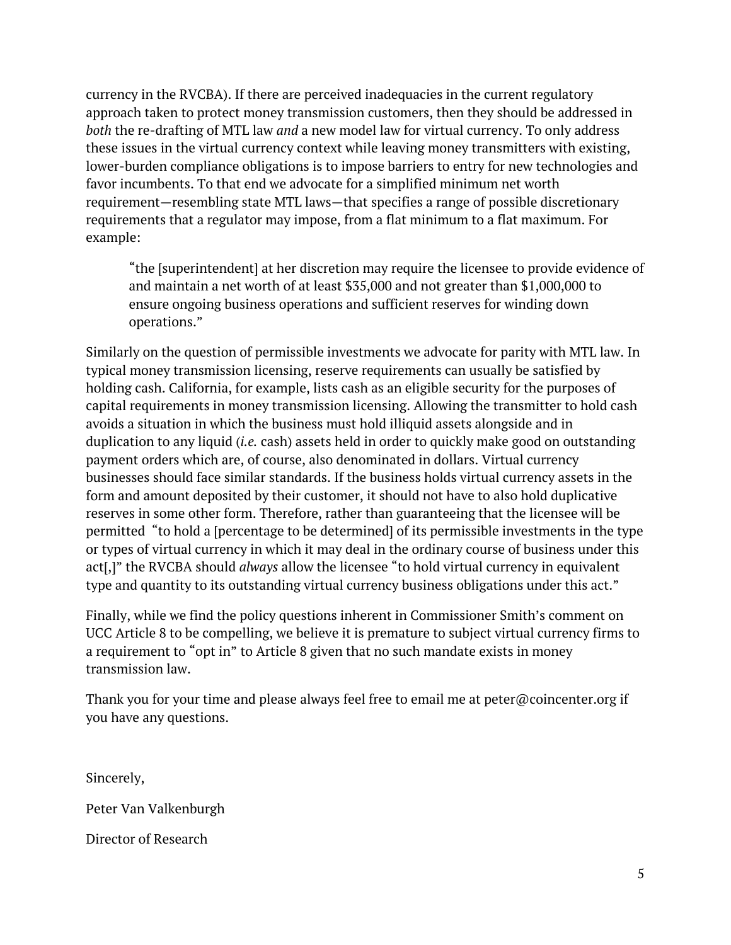currency in the RVCBA). If there are perceived inadequacies in the current regulatory approach taken to protect money transmission customers, then they should be addressed in *both* the re-drafting of MTL law *and* a new model law for virtual currency. To only address these issues in the virtual currency context while leaving money transmitters with existing, lower-burden compliance obligations is to impose barriers to entry for new technologies and favor incumbents. To that end we advocate for a simplified minimum net worth requirement—resembling state MTL laws—that specifies a range of possible discretionary requirements that a regulator may impose, from a flat minimum to a flat maximum. For example:

"the [superintendent] at her discretion may require the licensee to provide evidence of and maintain a net worth of at least \$35,000 and not greater than \$1,000,000 to ensure ongoing business operations and sufficient reserves for winding down operations."

Similarly on the question of permissible investments we advocate for parity with MTL law. In typical money transmission licensing, reserve requirements can usually be satisfied by holding cash. California, for example, lists cash as an eligible security for the purposes of capital requirements in money transmission licensing. Allowing the transmitter to hold cash avoids a situation in which the business must hold illiquid assets alongside and in duplication to any liquid (*i.e.* cash) assets held in order to quickly make good on outstanding payment orders which are, of course, also denominated in dollars. Virtual currency businesses should face similar standards. If the business holds virtual currency assets in the form and amount deposited by their customer, it should not have to also hold duplicative reserves in some other form. Therefore, rather than guaranteeing that the licensee will be permitted "to hold a [percentage to be determined] of its permissible investments in the type or types of virtual currency in which it may deal in the ordinary course of business under this act[,]" the RVCBA should *always* allow the licensee "to hold virtual currency in equivalent type and quantity to its outstanding virtual currency business obligations under this act."

Finally, while we find the policy questions inherent in Commissioner Smith's comment on UCC Article 8 to be compelling, we believe it is premature to subject virtual currency firms to a requirement to "opt in" to Article 8 given that no such mandate exists in money transmission law.

Thank you for your time and please always feel free to email me at peter@coincenter.org if you have any questions.

Sincerely,

Peter Van Valkenburgh

Director of Research